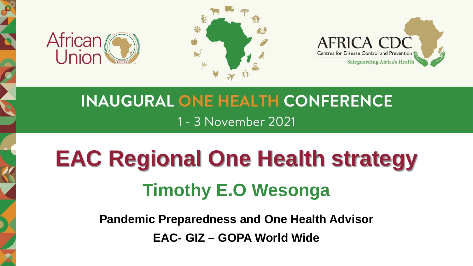





# **INAUGURAL ONE HEALTH CONFERENCE** 1 - 3 November 2021

# **EAC Regional One Health strategy Timothy E.O Wesonga**

**Pandemic Preparedness and One Health Advisor EAC- GIZ – GOPA World Wide**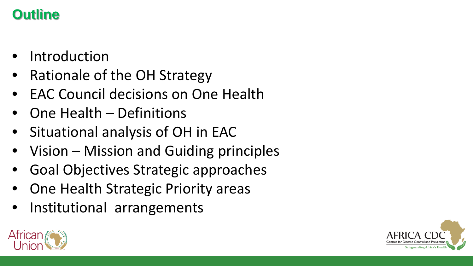# **Outline**

- **Introduction**
- Rationale of the OH Strategy
- EAC Council decisions on One Health
- One Health Definitions
- Situational analysis of OH in EAC
- Vision Mission and Guiding principles
- Goal Objectives Strategic approaches
- One Health Strategic Priority areas
- Institutional arrangements



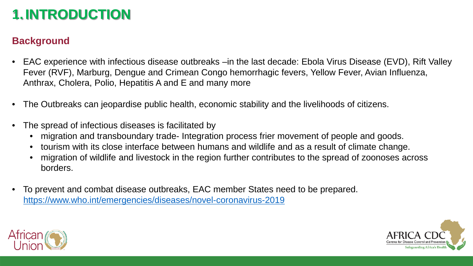# **1.INTRODUCTION**

### **Background**

- EAC experience with infectious disease outbreaks –in the last decade: Ebola Virus Disease (EVD), Rift Valley Fever (RVF), Marburg, Dengue and Crimean Congo hemorrhagic fevers, Yellow Fever, Avian Influenza, Anthrax, Cholera, Polio, Hepatitis A and E and many more
- The Outbreaks can jeopardise public health, economic stability and the livelihoods of citizens.
- The spread of infectious diseases is facilitated by
	- migration and transboundary trade- Integration process frier movement of people and goods.
	- tourism with its close interface between humans and wildlife and as a result of climate change.
	- migration of wildlife and livestock in the region further contributes to the spread of zoonoses across borders.
- To prevent and combat disease outbreaks, EAC member States need to be prepared. <https://www.who.int/emergencies/diseases/novel-coronavirus-2019>



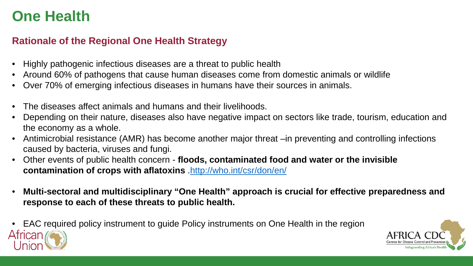### **Rationale of the Regional One Health Strategy**

- Highly pathogenic infectious diseases are a threat to public health
- Around 60% of pathogens that cause human diseases come from domestic animals or wildlife
- Over 70% of emerging infectious diseases in humans have their sources in animals.
- The diseases affect animals and humans and their livelihoods.
- Depending on their nature, diseases also have negative impact on sectors like trade, tourism, education and the economy as a whole.
- Antimicrobial resistance (AMR) has become another major threat –in preventing and controlling infections caused by bacteria, viruses and fungi.
- Other events of public health concern **floods, contaminated food and water or the invisible**  contamination of crops with aflatoxins <http://who.int/csr/don/en/>
- **Multi-sectoral and multidisciplinary "One Health" approach is crucial for effective preparedness and response to each of these threats to public health.**
- EAC required policy instrument to guide Policy instruments on One Health in the region African

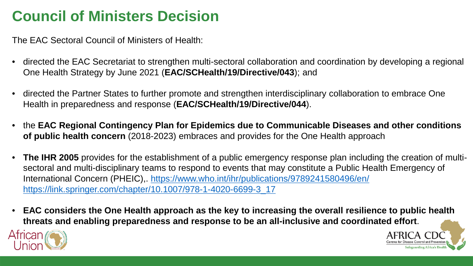# **Council of Ministers Decision**

The EAC Sectoral Council of Ministers of Health:

- directed the EAC Secretariat to strengthen multi-sectoral collaboration and coordination by developing a regional One Health Strategy by June 2021 (**EAC/SCHealth/19/Directive/043**); and
- directed the Partner States to further promote and strengthen interdisciplinary collaboration to embrace One Health in preparedness and response (**EAC/SCHealth/19/Directive/044**).
- the **EAC Regional Contingency Plan for Epidemics due to Communicable Diseases and other conditions of public health concern** (2018-2023) embraces and provides for the One Health approach
- **The IHR 2005** provides for the establishment of a public emergency response plan including the creation of multisectoral and multi-disciplinary teams to respond to events that may constitute a Public Health Emergency of International Concern (PHEIC), <https://www.who.int/ihr/publications/9789241580496/en/> [https://link.springer.com/chapter/10.1007/978-1-4020-6699-3\\_17](https://link.springer.com/chapter/10.1007/978-1-4020-6699-3_17)
- **EAC considers the One Health approach as the key to increasing the overall resilience to public health threats and enabling preparedness and response to be an all-inclusive and coordinated effort**.



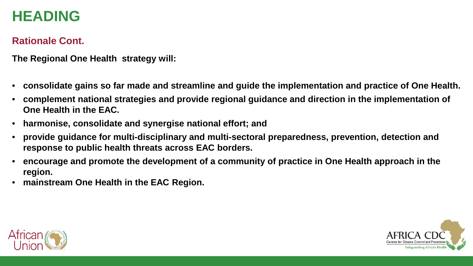# **HEADING**

### **Rationale Cont.**

**The Regional One Health strategy will:**

- **consolidate gains so far made and streamline and guide the implementation and practice of One Health.**
- **complement national strategies and provide regional guidance and direction in the implementation of One Health in the EAC.**
- **harmonise, consolidate and synergise national effort; and**
- **provide guidance for multi-disciplinary and multi-sectoral preparedness, prevention, detection and response to public health threats across EAC borders.**
- **encourage and promote the development of a community of practice in One Health approach in the region.**
- **mainstream One Health in the EAC Region.**



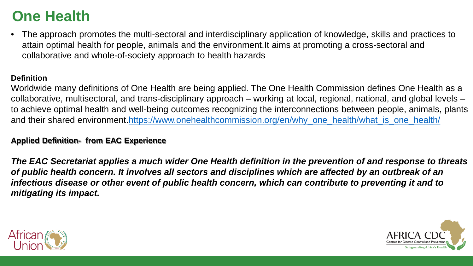• The approach promotes the multi-sectoral and interdisciplinary application of knowledge, skills and practices to attain optimal health for people, animals and the environment.It aims at promoting a cross-sectoral and collaborative and whole-of-society approach to health hazards

#### **Definition**

Worldwide many definitions of One Health are being applied. The One Health Commission defines One Health as a collaborative, multisectoral, and trans-disciplinary approach – working at local, regional, national, and global levels – to achieve optimal health and well-being outcomes recognizing the interconnections between people, animals, plants and their shared environment.[https://www.onehealthcommission.org/en/why\\_one\\_health/what\\_is\\_one\\_health/](https://www.onehealthcommission.org/en/why_one_health/what_is_one_health/)

#### **Applied Definition- from EAC Experience**

*The EAC Secretariat applies a much wider One Health definition in the prevention of and response to threats of public health concern. It involves all sectors and disciplines which are affected by an outbreak of an infectious disease or other event of public health concern, which can contribute to preventing it and to mitigating its impact.*



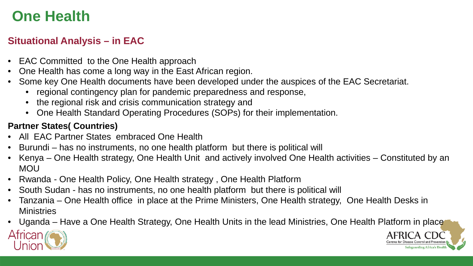### **Situational Analysis – in EAC**

- EAC Committed to the One Health approach
- One Health has come a long way in the East African region.
- Some key One Health documents have been developed under the auspices of the EAC Secretariat.
	- regional contingency plan for pandemic preparedness and response,
	- the regional risk and crisis communication strategy and
	- One Health Standard Operating Procedures (SOPs) for their implementation.

### **Partner States( Countries)**

- All EAC Partner States embraced One Health
- Burundi has no instruments, no one health platform but there is political will
- Kenya One Health strategy, One Health Unit and actively involved One Health activities Constituted by an MOU
- Rwanda One Health Policy, One Health strategy, One Health Platform
- South Sudan has no instruments, no one health platform but there is political will
- Tanzania One Health office in place at the Prime Ministers, One Health strategy, One Health Desks in **Ministries**
- Uganda Have a One Health Strategy, One Health Units in the lead Ministries, One Health Platform in place



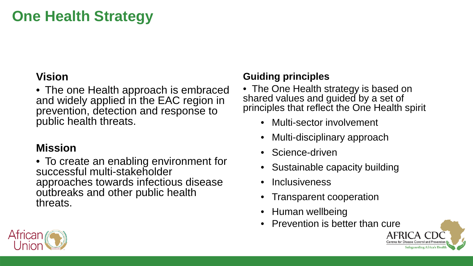# **One Health Strategy**

### **Vision**

• The one Health approach is embraced and widely applied in the EAC region in prevention, detection and response to public health threats.

### **Mission**

• To create an enabling environment for successful multi-stakeholder approaches towards infectious disease outbreaks and other public health threats.

### **Guiding principles**

• The One Health strategy is based on shared values and guided by a set of principles that reflect the One Health spirit

- Multi-sector involvement
- Multi-disciplinary approach
- Science-driven
- Sustainable capacity building
- Inclusiveness
- Transparent cooperation
- Human wellbeing
- Prevention is better than cure



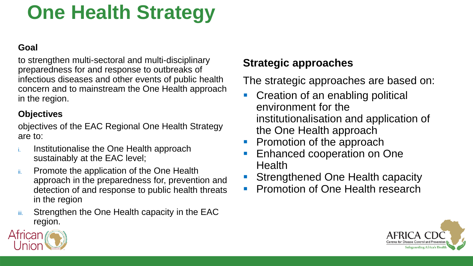# **One Health Strategy**

### **Goal**

to strengthen multi-sectoral and multi-disciplinary preparedness for and response to outbreaks of infectious diseases and other events of public health concern and to mainstream the One Health approach in the region.

### **Objectives**

objectives of the EAC Regional One Health Strategy are to:

- Institutionalise the One Health approach sustainably at the EAC level;
- ii. Promote the application of the One Health approach in the preparedness for, prevention and detection of and response to public health threats in the region
- iii. Strengthen the One Health capacity in the EAC region.

### **Strategic approaches**

The strategic approaches are based on:

- **Creation of an enabling political** environment for the institutionalisation and application of the One Health approach
- Promotion of the approach
- Enhanced cooperation on One Health
- Strengthened One Health capacity
- Promotion of One Health research



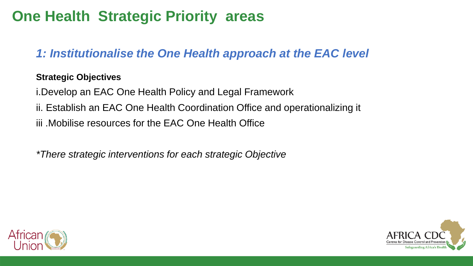# **One Health Strategic Priority areas**

### *1: Institutionalise the One Health approach at the EAC level*

### **Strategic Objectives**

i.Develop an EAC One Health Policy and Legal Framework

- ii. Establish an EAC One Health Coordination Office and operationalizing it
- iii .Mobilise resources for the EAC One Health Office

*\*There strategic interventions for each strategic Objective* 



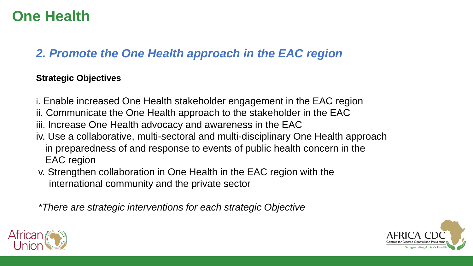### *2. Promote the One Health approach in the EAC region*

### **Strategic Objectives**

- i. Enable increased One Health stakeholder engagement in the EAC region
- ii. Communicate the One Health approach to the stakeholder in the EAC
- iii. Increase One Health advocacy and awareness in the EAC
- iv. Use a collaborative, multi-sectoral and multi-disciplinary One Health approach in preparedness of and response to events of public health concern in the EAC region
- v. Strengthen collaboration in One Health in the EAC region with the international community and the private sector

*\*There are strategic interventions for each strategic Objective* 



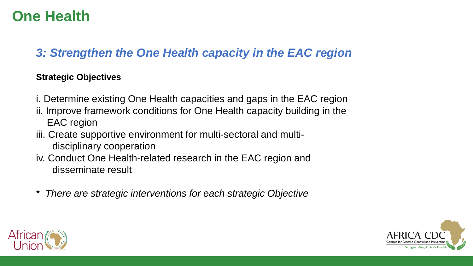### *3: Strengthen the One Health capacity in the EAC region*

### **Strategic Objectives**

- i. Determine existing One Health capacities and gaps in the EAC region
- ii. Improve framework conditions for One Health capacity building in the EAC region
- iii. Create supportive environment for multi-sectoral and multidisciplinary cooperation
- iv. Conduct One Health-related research in the EAC region and disseminate result
- \* *There are strategic interventions for each strategic Objective*



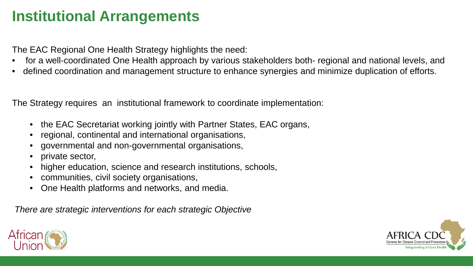# **Institutional Arrangements**

The EAC Regional One Health Strategy highlights the need:

- for a well-coordinated One Health approach by various stakeholders both- regional and national levels, and
- defined coordination and management structure to enhance synergies and minimize duplication of efforts.

The Strategy requires an institutional framework to coordinate implementation:

- the EAC Secretariat working jointly with Partner States, EAC organs,
- regional, continental and international organisations,
- governmental and non-governmental organisations,
- private sector,
- higher education, science and research institutions, schools,
- communities, civil society organisations,
- One Health platforms and networks, and media.

*There are strategic interventions for each strategic Objective*



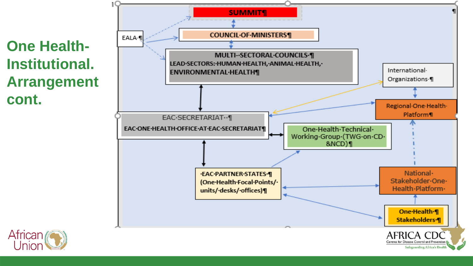